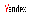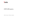

#### EXPLAIN query

Nikolai Kochetov, ClickHouse developer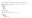Server log (before 20.3, or with experimental use processors =  $\theta$ )

```
<Debug> executeQuery: SELECT sum(number) FROM numbers(10) GROUP BY number % 2
<Debug> executeQuery: Query pipeline:
Expression
Expression
 Aggregating
  Concat
   Expression
    Numbers
```

```
EXPLAIN (20.6+)
```

```
EXPLAIN description = \thetaSELECT sum(number) FROM numbers(10) GROUP BY number % 2
```
Expression Expression Aggregating Expression ReadFromStorage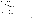## EXPLAIN types

```
EXPLAIN AST
         SYNTAX
         PLAN header = \theta,
               description = 1,actions = 0,
               optimize =
1
         PIPELINE header = \theta,
                   graph = 0,
                   compact = 1SELECT ...
```
AST - abstract syntax tree SYNTAX - query text after AST-level optimizations PLAN - query execution plan PIPELINE - query execution pipeline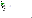## Query AST

```
EXPLAIN AST
SELECT
1
,
2
+
3
```

```
SelectWithUnionQuery (children
1
)
 ExpressionList (children
1
)
  SelectQuery (children
1
)
   ExpressionList (children
2
)
   Literal UInt64_1
    Function plus (children
1
)
     ExpressionList (children
2
)
     Literal UInt64_2
     Literal UInt64_3
```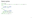### Query syntax

```
EXPLAIN SYNTAX
SELECT * FROM system.numbers AS a, system.numbers AS b, system.numbers AS c
SELECT
    `−−a.number` AS `a.number`,
    `−−b.number` AS `b.number`,
    number AS `c.number`
FROM
(
   SELECT
        number AS `−−a.number`,
        b.number AS `−−b.number`
    FROM system.numbers AS a
    CROSS JOIN system.numbers AS b
) AS `−−.s`
CROSS JOIN system.numbers AS c
```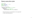## Query execution plan

```
EXPLATN PLAN
SELECT sum(number) + 1 AS x
FROM numbers(10)
GROUP BY number % 2
Expression (Projection)
 Expression (Before ORDER BY and SELECT)
    Aggregating
      Expression (Before GROUP BY)
        ReadFromStorage (Read from SystemNumbers)
```
- › Step (and query) cost estimation is not supported
- › TODO: EXPLAIN ANALYZE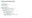## Query execution plan

```
EXPLAN header = 1SELECT sum
(number) +
1 AS
x
FROM numbers(10
)
GROUP BY number
%
2
Expression (Projection)
Header: x UInt64
  Expression (Before ORDER BY and SELECT
)
  Header: modulo(number
,
2) UInt8
          plus(sum
(number),
1) UInt64
   Aggregating
    Header: modulo(number
,
2) UInt8
            sum
(number) UInt64
      Expression (Before GROUP BY
)
      Header: number UInt64
              modulo(number
,
2) UInt8
        ReadFromStorage (Read from SystemNumbers)
        Header: number UInt64
```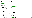#### Query execution plan

```
EXPI ATN actions = 1SELECT sum(number) + 1 AS x FROM numbers(10) GROUP BY number % 2
Expression (Projection)
Actions: PROJECT plus(sum(number), 1) AS x
 Expression (Before ORDER BY and SELECT)
 Actions: ADD 1 UInt8 Const(UInt8)
          FUNCTION plus(sum(number), 1) UInt64 = plus(sum(number), 1)
          REMOVE sum(number)
          REMOVE 1
   Aggregating
   Keys: modulo(number, 2)
   Aggregates:
       sum(number)
         Function: sum(UInt64) → UInt64
         Arguments: number
         Argument positions: 0
     Expression (Before GROUP BY)
     Actions: ADD 2 UInt8 Const(UInt8)
              FUNCTION modulo(number, 2) UInt8 = modulo(number, 2)
              REMOVE 2
       ReadFromStorage (Read from SystemNumbers) \frac{9}{19}
```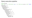#### Query execution pipeline

```
EXPLAIN PIPELINE
SELECT sum(x + 1) as y FROM (SELECT number + 2 AS x FROM system.numbers mt LIMIT 100000)
(Expression)
ExpressionTransform
  (Expression)
  ExpressionTransform
    (Aggregating)
    Resize 32 \rightarrow 1AggregatingTransform × 32
        StrictResize 32 → 32
           (Expression)
          ExpressionTransform × 32
             (Expression)
            ExpressionTransform × 32
               (Expression)
              ExpressionTransform × 32
                 (Limit)
                 Limit 32 \rightarrow 32(ReadFromStorage)
                     NumbersMt × 32
```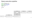#### Query execution pipeline

```
EXPLAIN PIPELINE graph = 1SELECT sum(number) AS x
FROM numbers_mt(1000000)
GROUP BY number % 2
FORMAT TSV
```
digraph { ...

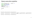#### Query execution pipeline

```
EXPLAIN PIPELINE graph = 1, compact = \thetaSELECT sum(number) AS x
FROM numbers_mt(1000000)
GROUP BY number % 2
FORMAT TSV
SETTINGS max threads = 2
```

```
digraph
{
```
...

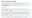#### Query analysis example

CREATE TABLE events (t DateTime, value UInt64) ENGINE = MergeTree ORDER BY t;

```
INSERT INTO events SELECT
   toDate('2000-01-01') + toIntervalSecond(number * 30), number
FROM numbers(100000000);
```
Last 10 events

```
SELECT toStartOfMinute(t) AS m, value FROM events ORDER BY m DESC LIMIT 10
2095-01-24 05:19:00 99999999
...
10 rows in set. Elapsed: 0.015 sec. Processed 901.38 thousand rows, 10.82 MB
SELECT toStartOfMinute(t, 'UTC') AS m, value FROM events ORDER BY m DESC LIMIT 10
2095-01-24 02:19:00 99999999
...
```
10 rows in set. Elapsed: 0.188 sec. Processed 100.00 million rows, 1.20 GB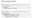#### Query analysis example

```
EXPLATN
SELECT toStartOfMinute(t) AS m, value FROM events ORDER BY m DESC LIMIT 10
Expression (Projection)
  Limit (preliminary LIMIT)
    FinishSorting
```

```
Expression (Before ORDER BY and SELECT)
 ReadFromStorage (Read from MergeTree)
```

```
FXPLATN
SELECT toStartOfMinute(t, 'UTC') AS m, value FROM events ORDER BY m DESC LIMIT 10
Expression (Projection)
  Limit (preliminary LIMIT)
   MergingSorted (Merge sorted streams for ORDER BY)
      MergeSorting (Merge sorted blocks for ORDER BY)
        PartialSorting (Sort each block for ORDER BY)
          Expression (Before ORDER BY and SELECT)
            ReadFromStorage (Read from MergeTree)
```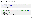## Query analysis example

```
SELECT toStartOfMinute(t, 'UTC') AS m, value FROM events ORDER BY t DESC LIMIT 10
2095-01-24 02:19:00 99999999
...
10 rows in set. Elapsed: 0.013 sec. Processed 901.38 thousand rows, 10.82 MB
```

```
FXPLATN
SELECT toStartOfMinute(t, 'UTC') AS m, value FROM events ORDER BY t DESC LIMIT 10
Expression (Projection)
  Limit (preliminary LIMIT)
    FinishSorting
      Expression (Before ORDER BY and SELECT)
       ReadFromStorage (Read from MergeTree)
```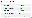## Query plan optimization

SELECT number + 1 FROM numbers(100000000) ORDER BY number DESC LIMIT 10

10 rows in set. Elapsed: 1.171 sec. Processed 100.03 million rows, 800.21 MB

```
SELECT number + 1 FROM (
   SELECT number FROM numbers(100000000) ORDER BY number DESC
) LIMIT 10
10 rows in set. Elapsed: 1.132 sec. Processed 100.03 million rows, 800.21 MB
```

```
CREATE VIEW numbers_100m_desc AS
SELECT number FROM numbers(100000000) ORDER BY number DESC
SELECT number + 1 FROM numbers 100m desc LIMIT 10
10 rows in set. Elapsed: 5.961 sec. Processed 100.03 million rows, 800.21 MB
```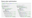### Query plan optimization

```
SELECT number + 1 FROM (
   SELECT number FROM numbers(100000000) ORDER BY number DESC
) LIMIT 10
```

```
EXPLAIN actions = 1, optimize = \theta
```

```
Expression (Projection)
Actions: PROJECT plus(number, 1)
 Limit (preliminary LIMIT)
 Limit 10
 Offset 0
    Expression (Before ORDER BY and SELECT)
   Actions: ADD 1 UInt8 Const(UInt8)
             FUNCTION plus(number, 1)
             REMOVE number
             REMOVE 1
     Expression (Projection)
     Actions: PROJECT number
        MergingSorted (Merge sorted streams for ORDER BY)
        Sort description: number DESC
```

```
MergeSorting (Merge sorted blocks for ORDER BY)
Sort description: number DESC
```

```
PartialSorting (Sort each block for ORDER BY)
Sort description: number DESC
```

```
Expression (Before ORDER BY and SELECT)
  ReadFromStorage (Read from SystemNumbers)
```

```
EXPLAIN actions = 1, optimize = 1
```

```
Expression (Projection)
Actions: PROJECT plus(number, 1)
  Expression (Before ORDER BY and SELECT)
  Actions: ADD 1 UInt8 Const(UInt8)
           FUNCTION plus(number, 1) UInt64
           REMOVE number
           REMOVE 1
    Expression (Projection)
    Actions: PROJECT number
      Limit (preliminary LIMIT)
     Limit 10
      Offset 0
        MergingSorted (Merge sorted streams for ORDER BY)
        Sort description: number DESC
        Limit 10
          MergeSorting (Merge sorted blocks for ORDER BY)
          Sort description: number DESC
         Limit 10
            PartialSorting (Sort each block for ORDER BY)
            Sort description: number DESC
            Limit 10
              Expression (Before ORDER BY and SELECT)
                ReadFromStorage (Read from SystemNumbers)
```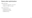# Query plan optimization

LIMIT push down

- › Support for subqueries from 20.7
- › Support for VIEW pr, review

Other optimizations

- › Predicate push down
- › GROUP BY push down
- › ORDER BY lift up